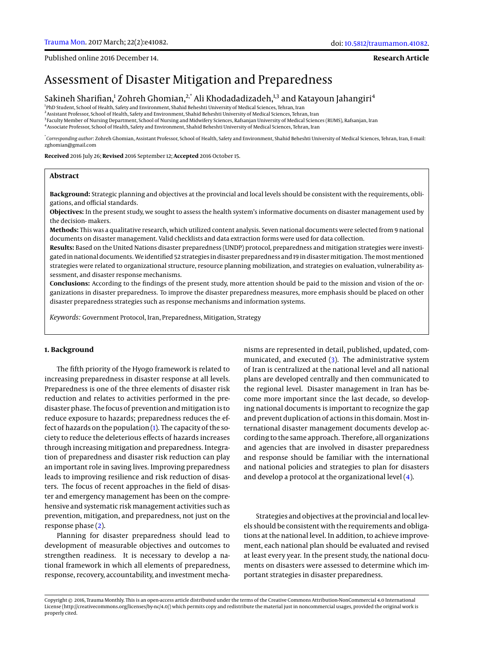**Research Article**

# Assessment of Disaster Mitigation and Preparedness

Sakineh Sharifian,<sup>1</sup> Zohreh Ghomian,<sup>2,\*</sup> Ali Khodadadizadeh,<sup>1,3</sup> and Katayoun Jahangiri<sup>4</sup>

1 PhD Student, School of Health, Safety and Environment, Shahid Beheshti University of Medical Sciences, Tehran, Iran

2 Assistant Professor, School of Health, Safety and Environment, Shahid Beheshti University of Medical Sciences, Tehran, Iran <sup>3</sup>Faculty Member of Nursing Department, School of Nursing and Midwifery Sciences, Rafsanjan University of Medical Sciences (RUMS), Rafsanjan, Iran 4 Associate Professor, School of Health, Safety and Environment, Shahid Beheshti University of Medical Sciences, Tehran, Iran

\* *Corresponding author*: Zohreh Ghomian, Assistant Professor, School of Health, Safety and Environment, Shahid Beheshti University of Medical Sciences, Tehran, Iran, E-mail: zghomian@gmail.com

**Received** 2016 July 26; **Revised** 2016 September 12; **Accepted** 2016 October 15.

### **Abstract**

**Background:** Strategic planning and objectives at the provincial and local levels should be consistent with the requirements, obligations, and official standards.

**Objectives:** In the present study, we sought to assess the health system's informative documents on disaster management used by the decision- makers.

**Methods:** This was a qualitative research, which utilized content analysis. Seven national documents were selected from 9 national documents on disaster management. Valid checklists and data extraction forms were used for data collection.

**Results:** Based on the United Nations disaster preparedness (UNDP) protocol, preparedness and mitigation strategies were investigated in national documents. We identified 52 strategies in disaster preparedness and 19 in disaster mitigation. The most mentioned strategies were related to organizational structure, resource planning mobilization, and strategies on evaluation, vulnerability assessment, and disaster response mechanisms.

**Conclusions:** According to the findings of the present study, more attention should be paid to the mission and vision of the organizations in disaster preparedness. To improve the disaster preparedness measures, more emphasis should be placed on other disaster preparedness strategies such as response mechanisms and information systems.

*Keywords:* Government Protocol, Iran, Preparedness, Mitigation, Strategy

# **1. Background**

The fifth priority of the Hyogo framework is related to increasing preparedness in disaster response at all levels. Preparedness is one of the three elements of disaster risk reduction and relates to activities performed in the predisaster phase. The focus of prevention and mitigation is to reduce exposure to hazards; preparedness reduces the effect of hazards on the population [\(1\)](#page-3-0). The capacity of the society to reduce the deleterious effects of hazards increases through increasing mitigation and preparedness. Integration of preparedness and disaster risk reduction can play an important role in saving lives. Improving preparedness leads to improving resilience and risk reduction of disasters. The focus of recent approaches in the field of disaster and emergency management has been on the comprehensive and systematic risk management activities such as prevention, mitigation, and preparedness, not just on the response phase [\(2\)](#page-3-1).

Planning for disaster preparedness should lead to development of measurable objectives and outcomes to strengthen readiness. It is necessary to develop a national framework in which all elements of preparedness, response, recovery, accountability, and investment mechanisms are represented in detail, published, updated, communicated, and executed [\(3\)](#page-3-2). The administrative system of Iran is centralized at the national level and all national plans are developed centrally and then communicated to the regional level. Disaster management in Iran has become more important since the last decade, so developing national documents is important to recognize the gap and prevent duplication of actions in this domain. Most international disaster management documents develop according to the same approach. Therefore, all organizations and agencies that are involved in disaster preparedness and response should be familiar with the international and national policies and strategies to plan for disasters and develop a protocol at the organizational level [\(4\)](#page-3-3).

Strategies and objectives at the provincial and local levels should be consistent with the requirements and obligations at the national level. In addition, to achieve improvement, each national plan should be evaluated and revised at least every year. In the present study, the national documents on disasters were assessed to determine which important strategies in disaster preparedness.

Copyright © 2016, Trauma Monthly. This is an open-access article distributed under the terms of the Creative Commons Attribution-NonCommercial 4.0 International License (http://creativecommons.org/licenses/by-nc/4.0/) which permits copy and redistribute the material just in noncommercial usages, provided the original work is properly cited.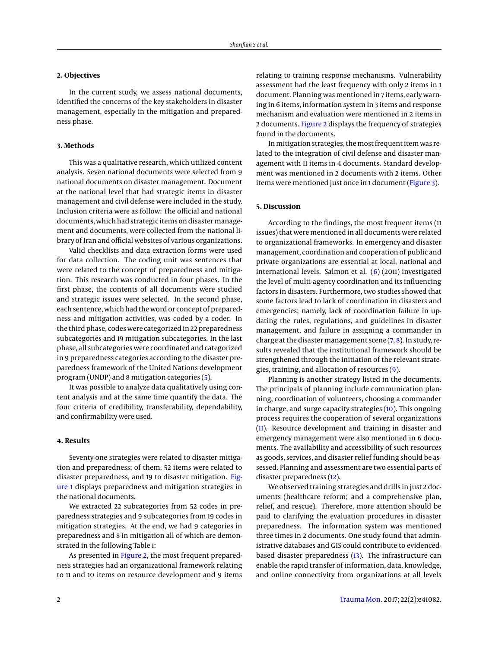# **2. Objectives**

In the current study, we assess national documents, identified the concerns of the key stakeholders in disaster management, especially in the mitigation and preparedness phase.

#### **3. Methods**

This was a qualitative research, which utilized content analysis. Seven national documents were selected from 9 national documents on disaster management. Document at the national level that had strategic items in disaster management and civil defense were included in the study. Inclusion criteria were as follow: The official and national documents, which had strategic items on disaster management and documents, were collected from the national library of Iran and official websites of various organizations.

Valid checklists and data extraction forms were used for data collection. The coding unit was sentences that were related to the concept of preparedness and mitigation. This research was conducted in four phases. In the first phase, the contents of all documents were studied and strategic issues were selected. In the second phase, each sentence, which had the word or concept of preparedness and mitigation activities, was coded by a coder. In the third phase, codes were categorized in 22 preparedness subcategories and 19 mitigation subcategories. In the last phase, all subcategories were coordinated and categorized in 9 preparedness categories according to the disaster preparedness framework of the United Nations development program (UNDP) and 8 mitigation categories [\(5\)](#page-3-4).

It was possible to analyze data qualitatively using content analysis and at the same time quantify the data. The four criteria of credibility, transferability, dependability, and confirmability were used.

## **4. Results**

Seventy-one strategies were related to disaster mitigation and preparedness; of them, 52 items were related to disaster preparedness, and 19 to disaster mitigation. [Fig](#page-2-0)[ure 1](#page-2-0) displays preparedness and mitigation strategies in the national documents.

We extracted 22 subcategories from 52 codes in preparedness strategies and 9 subcategories from 19 codes in mitigation strategies. At the end, we had 9 categories in preparedness and 8 in mitigation all of which are demonstrated in the following Table 1:

As presented in [Figure 2,](#page-3-5) the most frequent preparedness strategies had an organizational framework relating to 11 and 10 items on resource development and 9 items

relating to training response mechanisms. Vulnerability assessment had the least frequency with only 2 items in 1 document. Planning was mentioned in 7 items, early warning in 6 items, information system in 3 items and response mechanism and evaluation were mentioned in 2 items in 2 documents. [Figure 2](#page-3-5) displays the frequency of strategies found in the documents.

In mitigation strategies, the most frequent item was related to the integration of civil defense and disaster management with 11 items in 4 documents. Standard development was mentioned in 2 documents with 2 items. Other items were mentioned just once in 1 document [\(Figure 3\)](#page-4-0).

#### **5. Discussion**

According to the findings, the most frequent items (11 issues) that were mentioned in all documents were related to organizational frameworks. In emergency and disaster management, coordination and cooperation of public and private organizations are essential at local, national and international levels. Salmon et al. [\(6\)](#page-3-6) (2011) investigated the level of multi-agency coordination and its influencing factors in disasters. Furthermore, two studies showed that some factors lead to lack of coordination in disasters and emergencies; namely, lack of coordination failure in updating the rules, regulations, and guidelines in disaster management, and failure in assigning a commander in charge at the disaster management scene [\(7,](#page-3-7) [8\)](#page-3-8). In study, results revealed that the institutional framework should be strengthened through the initiation of the relevant strategies, training, and allocation of resources [\(9\)](#page-3-9).

Planning is another strategy listed in the documents. The principals of planning include communication planning, coordination of volunteers, choosing a commander in charge, and surge capacity strategies [\(10\)](#page-3-10). This ongoing process requires the cooperation of several organizations [\(11\)](#page-3-11). Resource development and training in disaster and emergency management were also mentioned in 6 documents. The availability and accessibility of such resources as goods, services, and disaster relief funding should be assessed. Planning and assessment are two essential parts of disaster preparedness [\(12\)](#page-4-1).

We observed training strategies and drills in just 2 documents (healthcare reform; and a comprehensive plan, relief, and rescue). Therefore, more attention should be paid to clarifying the evaluation procedures in disaster preparedness. The information system was mentioned three times in 2 documents. One study found that administrative databases and GIS could contribute to evidencedbased disaster preparedness  $(13)$ . The infrastructure can enable the rapid transfer of information, data, knowledge, and online connectivity from organizations at all levels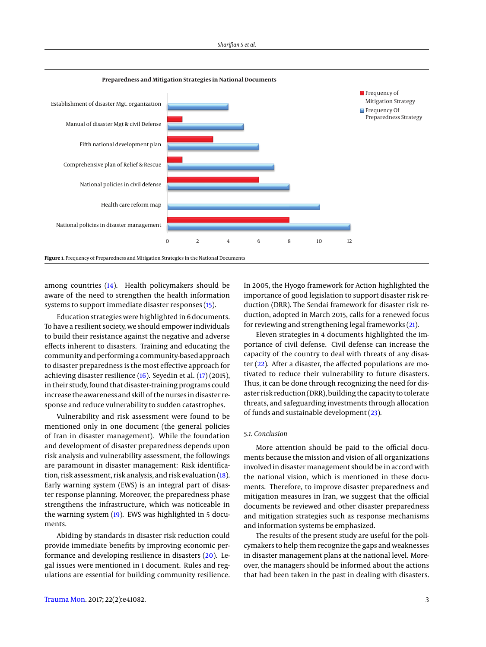<span id="page-2-0"></span>

among countries [\(14\)](#page-4-3). Health policymakers should be aware of the need to strengthen the health information systems to support immediate disaster responses [\(15\)](#page-4-4).

Education strategies were highlighted in 6 documents. To have a resilient society, we should empower individuals to build their resistance against the negative and adverse effects inherent to disasters. Training and educating the community and performing a community-based approach to disaster preparedness is the most effective approach for achieving disaster resilience [\(16\)](#page-4-5). Seyedin et al. [\(17\)](#page-4-6) (2015), in their study, found that disaster-training programs could increase the awareness and skill of the nurses in disaster response and reduce vulnerability to sudden catastrophes.

Vulnerability and risk assessment were found to be mentioned only in one document (the general policies of Iran in disaster management). While the foundation and development of disaster preparedness depends upon risk analysis and vulnerability assessment, the followings are paramount in disaster management: Risk identification, risk assessment, risk analysis, and risk evaluation [\(18\)](#page-4-7). Early warning system (EWS) is an integral part of disaster response planning. Moreover, the preparedness phase strengthens the infrastructure, which was noticeable in the warning system [\(19\)](#page-4-8). EWS was highlighted in 5 documents.

Abiding by standards in disaster risk reduction could provide immediate benefits by improving economic performance and developing resilience in disasters  $(20)$ . Legal issues were mentioned in 1 document. Rules and regulations are essential for building community resilience.

In 2005, the Hyogo framework for Action highlighted the importance of good legislation to support disaster risk reduction (DRR). The Sendai framework for disaster risk reduction, adopted in March 2015, calls for a renewed focus for reviewing and strengthening legal frameworks [\(21\)](#page-4-10).

Eleven strategies in 4 documents highlighted the importance of civil defense. Civil defense can increase the capacity of the country to deal with threats of any disaster [\(22\)](#page-4-11). After a disaster, the affected populations are motivated to reduce their vulnerability to future disasters. Thus, it can be done through recognizing the need for disaster risk reduction (DRR), building the capacity to tolerate threats, and safeguarding investments through allocation of funds and sustainable development [\(23\)](#page-4-12).

## *5.1. Conclusion*

More attention should be paid to the official documents because the mission and vision of all organizations involved in disaster management should be in accord with the national vision, which is mentioned in these documents. Therefore, to improve disaster preparedness and mitigation measures in Iran, we suggest that the official documents be reviewed and other disaster preparedness and mitigation strategies such as response mechanisms and information systems be emphasized.

The results of the present study are useful for the policymakers to help them recognize the gaps and weaknesses in disaster management plans at the national level. Moreover, the managers should be informed about the actions that had been taken in the past in dealing with disasters.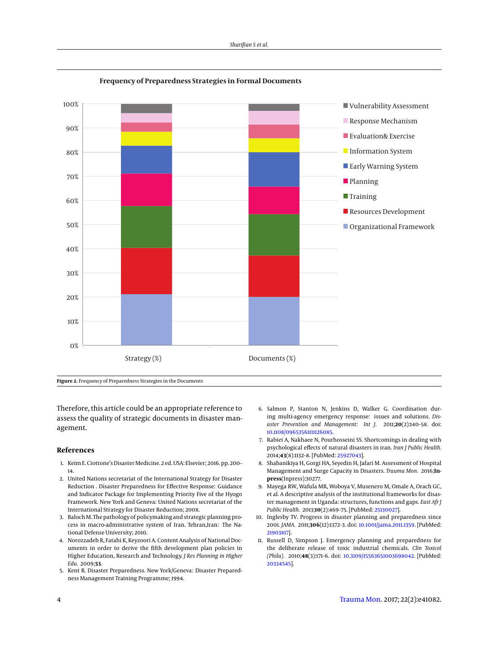<span id="page-3-5"></span>

**Frequency of Preparedness Strategies in Formal Documents**

**Figure 2.** Frequency of Preparedness Strategies in the Documents

Therefore, this article could be an appropriate reference to assess the quality of strategic documents in disaster management.

#### **References**

- <span id="page-3-0"></span>1. Keim E. Ciottone's Disaster Medicine. 2 ed. USA: Elsevier; 2016. pp. 200– 14.
- <span id="page-3-1"></span>2. United Nations secretariat of the International Strategy for Disaster Reduction . Disaster Preparedness for Effective Response: Guidance and Indicator Package for Implementing Priority Five of the Hyogo Framework. New York and Geneva: United Nations secretariat of the International Strategy for Disaster Reduction; 2008.
- <span id="page-3-2"></span>3. Baloch M. The pathology of policymaking and strategic planning process in macro-administrative system of Iran. Tehran,Iran: The National Defense University; 2010.
- <span id="page-3-3"></span>4. Norozzadeh R, Fatahi K, Keyzoori A. Content Analysis of National Documents in order to derive the fifth development plan policies in Higher Education, Research and Technology. *J Res Planning in Higher Edu.* 2009;**53**.
- <span id="page-3-4"></span>5. Kent R. Disaster Preparedness. New York/Geneva: Disaster Preparedness Management Training Programme; 1994.
- <span id="page-3-6"></span>6. Salmon P, Stanton N, Jenkins D, Walker G. Coordination during multi-agency emergency response: issues and solutions. *Disaster Prevention and Management: Int J.* 2011;**20**(2):140–58. doi: [10.1108/09653561111126085.](http://dx.doi.org/10.1108/09653561111126085)
- <span id="page-3-7"></span>7. Rabiei A, Nakhaee N, Pourhosseini SS. Shortcomings in dealing with psychological effects of natural disasters in iran. *Iran J Public Health.* 2014;**43**(8):1132–8. [PubMed: [25927043\]](http://www.ncbi.nlm.nih.gov/pubmed/25927043).
- <span id="page-3-8"></span>8. Shabanikiya H, Gorgi HA, Seyedin H, Jafari M. Assessment of Hospital Management and Surge Capacity in Disasters. *Trauma Mon.* 2016;**Inpress**(Inpress):30277.
- <span id="page-3-9"></span>9. Mayega RW, Wafula MR, Woboya V, Musenero M, Omale A, Orach GC, et al. A descriptive analysis of the institutional frameworks for disaster management in Uganda: structures, functions and gaps. *East Afr J Public Health.* 2013;**10**(2):469–75. [PubMed: [25130027\]](http://www.ncbi.nlm.nih.gov/pubmed/25130027).
- <span id="page-3-10"></span>10. Inglesby TV. Progress in disaster planning and preparedness since 2001. *JAMA.* 2011;**306**(12):1372–3. doi: [10.1001/jama.2011.1359.](http://dx.doi.org/10.1001/jama.2011.1359) [PubMed: [21903817\]](http://www.ncbi.nlm.nih.gov/pubmed/21903817).
- <span id="page-3-11"></span>11. Russell D, Simpson J. Emergency planning and preparedness for the deliberate release of toxic industrial chemicals. *Clin Toxicol (Phila).* 2010;**48**(3):171–6. doi: [10.3109/15563651003698042.](http://dx.doi.org/10.3109/15563651003698042) [PubMed: [20334545\]](http://www.ncbi.nlm.nih.gov/pubmed/20334545).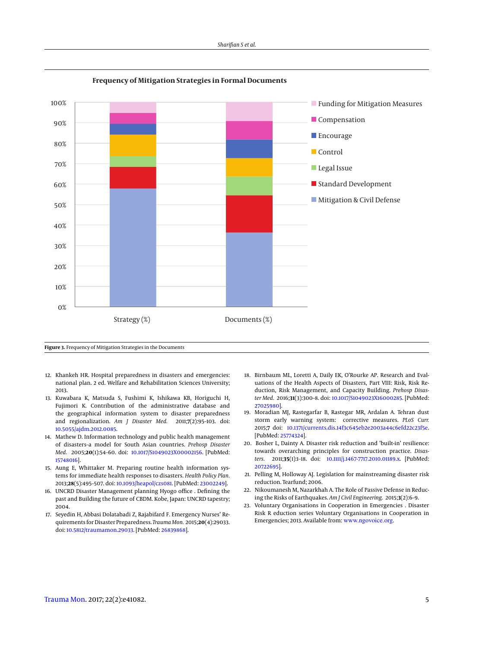<span id="page-4-0"></span>

**Frequency of Mitigation Strategies in Formal Documents**

**Figure 3.** Frequency of Mitigation Strategies in the Documents

- <span id="page-4-1"></span>12. Khankeh HR. Hospital preparedness in disasters and emergencies: national plan. 2 ed. Welfare and Rehabilitation Sciences University; 2013.
- <span id="page-4-2"></span>13. Kuwabara K, Matsuda S, Fushimi K, Ishikawa KB, Horiguchi H, Fujimori K. Contribution of the administrative database and the geographical information system to disaster preparedness and regionalization. *Am J Disaster Med.* 2011;**7**(2):95–103. doi: [10.5055/ajdm.2012.0085.](http://dx.doi.org/10.5055/ajdm.2012.0085)
- <span id="page-4-3"></span>14. Mathew D. Information technology and public health management of disasters–a model for South Asian countries. *Prehosp Disaster Med.* 2005;**20**(1):54–60. doi: [10.1017/S1049023X00002156.](http://dx.doi.org/10.1017/S1049023X00002156) [PubMed: [15748016\]](http://www.ncbi.nlm.nih.gov/pubmed/15748016).
- <span id="page-4-4"></span>15. Aung E, Whittaker M. Preparing routine health information systems for immediate health responses to disasters. *Health Policy Plan.* 2013;**28**(5):495–507. doi: [10.1093/heapol/czs081.](http://dx.doi.org/10.1093/heapol/czs081) [PubMed: [23002249\]](http://www.ncbi.nlm.nih.gov/pubmed/23002249).
- <span id="page-4-5"></span>16. UNCRD Disaster Management planning Hyogo office . Defining the past and Building the future of CBDM. Kobe, Japan: UNCRD tapestry; 2004.
- <span id="page-4-6"></span>17. Seyedin H, Abbasi Dolatabadi Z, Rajabifard F. Emergency Nurses' Requirements for Disaster Preparedness. *Trauma Mon.* 2015;**20**(4):29033. doi: [10.5812/traumamon.29033.](http://dx.doi.org/10.5812/traumamon.29033) [PubMed: [26839868\]](http://www.ncbi.nlm.nih.gov/pubmed/26839868).
- <span id="page-4-7"></span>18. Birnbaum ML, Loretti A, Daily EK, O'Rourke AP. Research and Evaluations of the Health Aspects of Disasters, Part VIII: Risk, Risk Reduction, Risk Management, and Capacity Building. *Prehosp Disaster Med.* 2016;**31**(3):300–8. doi: [10.1017/S1049023X16000285.](http://dx.doi.org/10.1017/S1049023X16000285) [PubMed: [27025980\]](http://www.ncbi.nlm.nih.gov/pubmed/27025980).
- <span id="page-4-8"></span>19. Moradian MJ, Rastegarfar B, Rastegar MR, Ardalan A. Tehran dust storm early warning system: corrective measures. *PLoS Curr.* 2015;**7** doi: [10.1371/currents.dis.14f3c645eb2e2003a44c6efd22c23f5e.](http://dx.doi.org/10.1371/currents.dis.14f3c645eb2e2003a44c6efd22c23f5e) [PubMed: [25774324\]](http://www.ncbi.nlm.nih.gov/pubmed/25774324).
- <span id="page-4-9"></span>20. Bosher L, Dainty A. Disaster risk reduction and 'built-in' resilience: towards overarching principles for construction practice. *Disasters.* 2011;**35**(1):1–18. doi: [10.1111/j.1467-7717.2010.01189.x.](http://dx.doi.org/10.1111/j.1467-7717.2010.01189.x) [PubMed: [20722695\]](http://www.ncbi.nlm.nih.gov/pubmed/20722695).
- <span id="page-4-10"></span>21. Pelling M, Holloway AJ. Legislation for mainstreaming disaster risk reduction. Tearfund; 2006.
- <span id="page-4-11"></span>22. Nikoumanesh M, Nazarkhah A. The Role of Passive Defense in Reducing the Risks of Earthquakes. *Am J Civil Engineering.* 2015;**3**(2):6–9.
- <span id="page-4-12"></span>23. Voluntary Organisations in Cooperation in Emergencies . Disaster Risk R eduction series Voluntary Organisations in Cooperation in Emergencies; 2013. Available from: <www.ngovoice.org>.